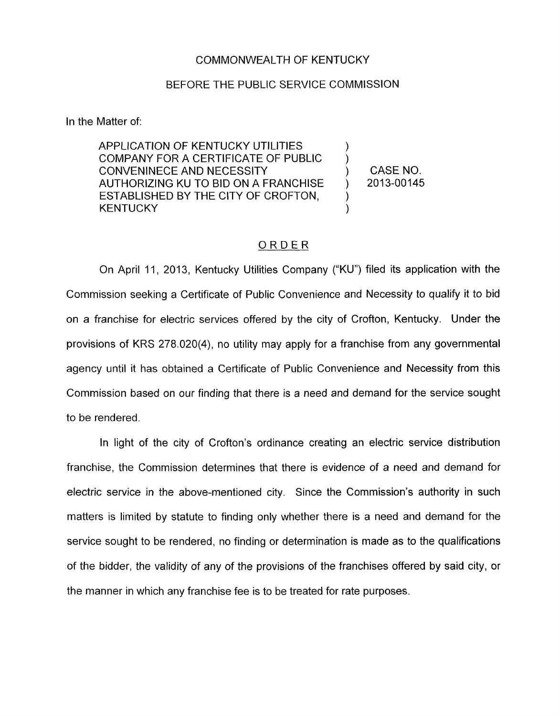## COMMONWEALTH OF KENTUCKY

## BEFORE THE PUBLIC SERVICE COMMISSION

In the Matter of:

APPLICATION OF KENTUCKY UTILITIES COMPANY FOR A CERTIFICATE OF PUBLIC ) CONVENINECE AND NECESSITY ) CASENO. AUTHORIZING KU TO BID ON A FRANCHISE ) 2013-00145 ESTABLISHED BY THE CITY OF CROFTON, **KENTUCKY** 

## ORDER

On April 11, 2013, Kentucky Utilities Company ("KU") filed its application with the Commission seeking a Certificate of Public Convenience and Necessity to qualify it to bid on a franchise for electric services offered by the city of Crofton, Kentucky. Under the provisions of KRS 278.020(4), no utility may apply for a franchise from any governmental agency until it has obtained a Certificate of Public Convenience and Necessity from this Commission based on our finding that there is a need and demand for the service sought to be rendered.

In light of the city of Crofton's ordinance creating an electric service distribution franchise, the Commission determines that there is evidence of a need and demand for electric service in the above-mentioned city. Since the Commission's authority in such matters is limited by statute to finding only whether there is a need and demand for the service sought to be rendered, no finding or determination is made as to the qualifications of the bidder, the validity of any of the provisions of the franchises offered by said city, or the manner in which any franchise fee is to be treated for rate purposes.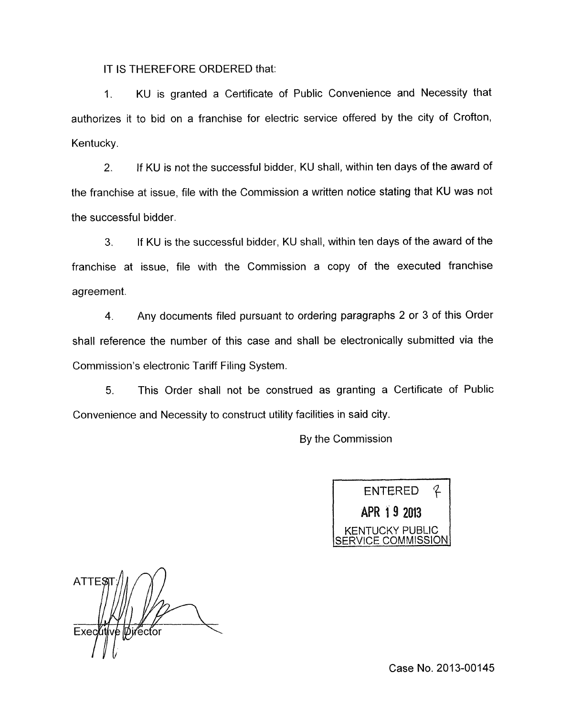IT IS THEREFORE ORDERED that:

1. KU is granted a Certificate of Public Convenience and Necessity that authorizes it to bid on a franchise for electric service offered by the city of Crofton, Kentucky.

2. If KU is not the successful bidder, KU shall, within ten days of the award of the franchise at issue, file with the Commission a written notice stating that KU was not the successful bidder.

**3.** If KU is the successful bidder, KU shall, within ten days of the award of the franchise at issue, file with the Commission a copy of the executed franchise agreement.

4. Any documents filed pursuant to ordering paragraphs 2 or 3 of this Order shall reference the number of this case and shall be electronically submitted via the Commission's electronic Tariff Filing System.

5. This Order shall not be construed as granting a Certificate of Public Convenience and Necessity to construct utility facilities in said city.

By the Commission



ATTES Executive Director

Case No. 2013-00145